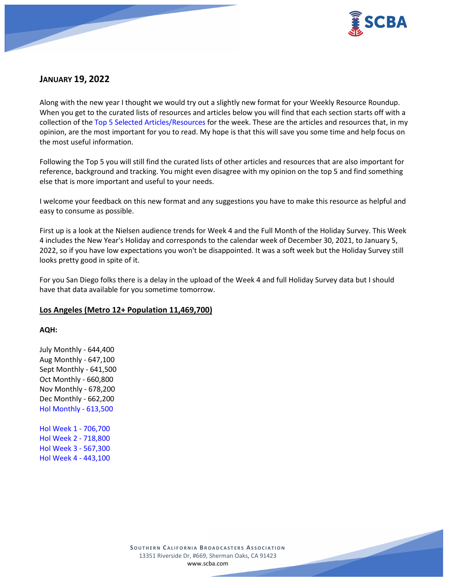

# **JANUARY 19, 2022**

Along with the new year I thought we would try out a slightly new format for your Weekly Resource Roundup. When you get to the curated lists of resources and articles below you will find that each section starts off with a collection of the Top 5 Selected Articles/Resources for the week. These are the articles and resources that, in my opinion, are the most important for you to read. My hope is that this will save you some time and help focus on the most useful information.

Following the Top 5 you will still find the curated lists of other articles and resources that are also important for reference, background and tracking. You might even disagree with my opinion on the top 5 and find something else that is more important and useful to your needs.

I welcome your feedback on this new format and any suggestions you have to make this resource as helpful and easy to consume as possible.

First up is a look at the Nielsen audience trends for Week 4 and the Full Month of the Holiday Survey. This Week 4 includes the New Year's Holiday and corresponds to the calendar week of December 30, 2021, to January 5, 2022, so if you have low expectations you won't be disappointed. It was a soft week but the Holiday Survey still looks pretty good in spite of it.

For you San Diego folks there is a delay in the upload of the Week 4 and full Holiday Survey data but I should have that data available for you sometime tomorrow.

# **Los Angeles (Metro 12+ Population 11,469,700)**

# **AQH:**

July Monthly - 644,400 Aug Monthly - 647,100 Sept Monthly - 641,500 Oct Monthly - 660,800 Nov Monthly - 678,200 Dec Monthly - 662,200 Hol Monthly - 613,500

Hol Week 1 - 706,700 Hol Week 2 - 718,800 Hol Week 3 - 567,300 Hol Week 4 - 443,100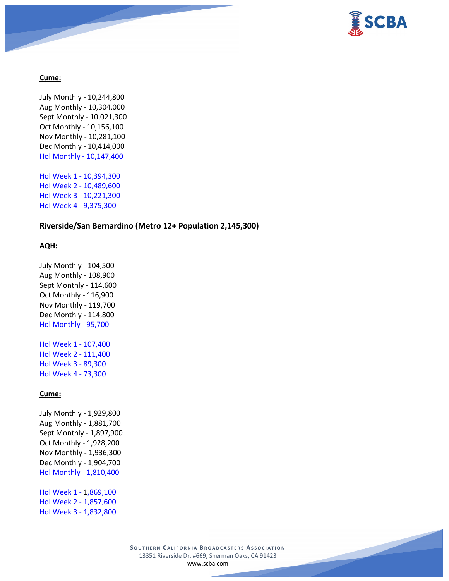

### **Cume:**

July Monthly - 10,244,800 Aug Monthly - 10,304,000 Sept Monthly - 10,021,300 Oct Monthly - 10,156,100 Nov Monthly - 10,281,100 Dec Monthly - 10,414,000 Hol Monthly - 10,147,400 Hol Week 1 - 10,394,300 Hol Week 2 - 10,489,600 Hol Week 3 - 10,221,300 Hol Week 4 - 9,375,300

# **Riverside/San Bernardino (Metro 12+ Population 2,145,300)**

### **AQH:**

July Monthly - 104,500 Aug Monthly - 108,900 Sept Monthly - 114,600 Oct Monthly - 116,900 Nov Monthly - 119,700 Dec Monthly - 114,800 Hol Monthly - 95,700

Hol Week 1 - 107,400 Hol Week 2 - 111,400 Hol Week 3 - 89,300 Hol Week 4 - 73,300

# **Cume:**

July Monthly - 1,929,800 Aug Monthly - 1,881,700 Sept Monthly - 1,897,900 Oct Monthly - 1,928,200 Nov Monthly - 1,936,300 Dec Monthly - 1,904,700 Hol Monthly - 1,810,400

Hol Week 1 - 1,869,100 Hol Week 2 - 1,857,600 Hol Week 3 - 1,832,800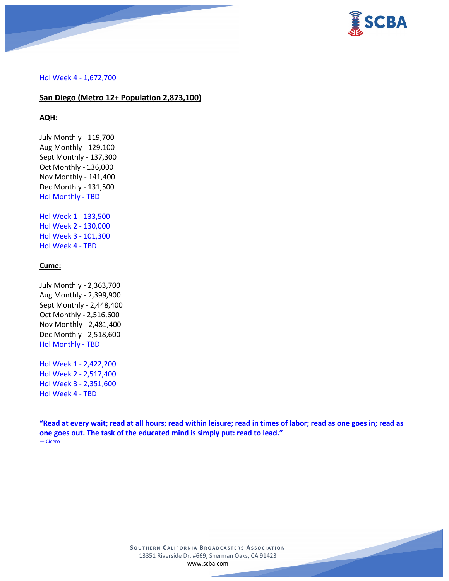

#### Hol Week 4 - 1,672,700

### **San Diego (Metro 12+ Population 2,873,100)**

#### **AQH:**

July Monthly - 119,700 Aug Monthly - 129,100 Sept Monthly - 137,300 Oct Monthly - 136,000 Nov Monthly - 141,400 Dec Monthly - 131,500 Hol Monthly - TBD

Hol Week 1 - 133,500 Hol Week 2 - 130,000 Hol Week 3 - 101,300 Hol Week 4 - TBD

### **Cume:**

July Monthly - 2,363,700 Aug Monthly - 2,399,900 Sept Monthly - 2,448,400 Oct Monthly - 2,516,600 Nov Monthly - 2,481,400 Dec Monthly - 2,518,600 Hol Monthly - TBD

Hol Week 1 - 2,422,200 Hol Week 2 - 2,517,400 Hol Week 3 - 2,351,600 Hol Week 4 - TBD

**"Read at every wait; read at all hours; read within leisure; read in times of labor; read as one goes in; read as one goes out. The task of the educated mind is simply put: read to lead."** ― Cicero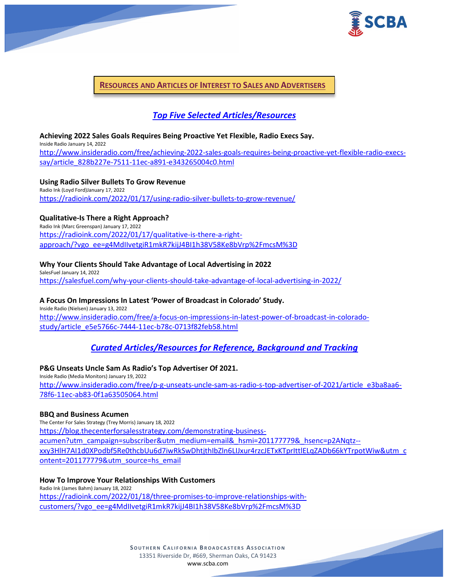

**RESOURCES AND ARTICLES OF INTEREST TO SALES AND ADVERTISERS**

# *Top Five Selected Articles/Resources*

#### **Achieving 2022 Sales Goals Requires Being Proactive Yet Flexible, Radio Execs Say.** Inside Radio January 14, 2022

[http://www.insideradio.com/free/achieving-2022-sales-goals-requires-being-proactive-yet-flexible-radio-execs](http://www.insideradio.com/free/achieving-2022-sales-goals-requires-being-proactive-yet-flexible-radio-execs-say/article_828b227e-7511-11ec-a891-e343265004c0.html)[say/article\\_828b227e-7511-11ec-a891-e343265004c0.html](http://www.insideradio.com/free/achieving-2022-sales-goals-requires-being-proactive-yet-flexible-radio-execs-say/article_828b227e-7511-11ec-a891-e343265004c0.html)

# **Using Radio Silver Bullets To Grow Revenue**

Radio Ink (Loyd Ford)January 17, 2022 <https://radioink.com/2022/01/17/using-radio-silver-bullets-to-grow-revenue/>

# **Qualitative-Is There a Right Approach?**

Radio Ink (Marc Greenspan) January 17, 2022 [https://radioink.com/2022/01/17/qualitative-is-there-a-right](https://radioink.com/2022/01/17/qualitative-is-there-a-right-approach/?vgo_ee=g4MdIIvetgiR1mkR7kijJ4BI1h38V58Ke8bVrp%2FmcsM%3D)[approach/?vgo\\_ee=g4MdIIvetgiR1mkR7kijJ4BI1h38V58Ke8bVrp%2FmcsM%3D](https://radioink.com/2022/01/17/qualitative-is-there-a-right-approach/?vgo_ee=g4MdIIvetgiR1mkR7kijJ4BI1h38V58Ke8bVrp%2FmcsM%3D)

# **Why Your Clients Should Take Advantage of Local Advertising in 2022**

SalesFuel January 14, 2022 <https://salesfuel.com/why-your-clients-should-take-advantage-of-local-advertising-in-2022/>

# **A Focus On Impressions In Latest 'Power of Broadcast in Colorado' Study.**

Inside Radio (Nielsen) January 13, 2022 [http://www.insideradio.com/free/a-focus-on-impressions-in-latest-power-of-broadcast-in-colorado](http://www.insideradio.com/free/a-focus-on-impressions-in-latest-power-of-broadcast-in-colorado-study/article_e5e5766c-7444-11ec-b78c-0713f82feb58.html)[study/article\\_e5e5766c-7444-11ec-b78c-0713f82feb58.html](http://www.insideradio.com/free/a-focus-on-impressions-in-latest-power-of-broadcast-in-colorado-study/article_e5e5766c-7444-11ec-b78c-0713f82feb58.html)

# *Curated Articles/Resources for Reference, Background and Tracking*

# **P&G Unseats Uncle Sam As Radio's Top Advertiser Of 2021.**

Inside Radio (Media Monitors) January 19, 2022 [http://www.insideradio.com/free/p-g-unseats-uncle-sam-as-radio-s-top-advertiser-of-2021/article\\_e3ba8aa6-](http://www.insideradio.com/free/p-g-unseats-uncle-sam-as-radio-s-top-advertiser-of-2021/article_e3ba8aa6-78f6-11ec-ab83-0f1a63505064.html) [78f6-11ec-ab83-0f1a63505064.html](http://www.insideradio.com/free/p-g-unseats-uncle-sam-as-radio-s-top-advertiser-of-2021/article_e3ba8aa6-78f6-11ec-ab83-0f1a63505064.html)

### **BBQ and Business Acumen**

The Center For Sales Strategy (Trey Morris) January 18, 2022 [https://blog.thecenterforsalesstrategy.com/demonstrating-business](https://blog.thecenterforsalesstrategy.com/demonstrating-business-acumen?utm_campaign=subscriber&utm_medium=email&_hsmi=201177779&_hsenc=p2ANqtz--xxy3HlH7AI1d0XPodbf5Re0thcbUu6d7iwRkSwDhtjthIbZln6LIJxur4rzcJETxKTprIttlELqZADb66kYTrpotWiw&utm_content=201177779&utm_source=hs_email)[acumen?utm\\_campaign=subscriber&utm\\_medium=email&\\_hsmi=201177779&\\_hsenc=p2ANqtz-](https://blog.thecenterforsalesstrategy.com/demonstrating-business-acumen?utm_campaign=subscriber&utm_medium=email&_hsmi=201177779&_hsenc=p2ANqtz--xxy3HlH7AI1d0XPodbf5Re0thcbUu6d7iwRkSwDhtjthIbZln6LIJxur4rzcJETxKTprIttlELqZADb66kYTrpotWiw&utm_content=201177779&utm_source=hs_email) [xxy3HlH7AI1d0XPodbf5Re0thcbUu6d7iwRkSwDhtjthIbZln6LIJxur4rzcJETxKTprIttlELqZADb66kYTrpotWiw&utm\\_c](https://blog.thecenterforsalesstrategy.com/demonstrating-business-acumen?utm_campaign=subscriber&utm_medium=email&_hsmi=201177779&_hsenc=p2ANqtz--xxy3HlH7AI1d0XPodbf5Re0thcbUu6d7iwRkSwDhtjthIbZln6LIJxur4rzcJETxKTprIttlELqZADb66kYTrpotWiw&utm_content=201177779&utm_source=hs_email) [ontent=201177779&utm\\_source=hs\\_email](https://blog.thecenterforsalesstrategy.com/demonstrating-business-acumen?utm_campaign=subscriber&utm_medium=email&_hsmi=201177779&_hsenc=p2ANqtz--xxy3HlH7AI1d0XPodbf5Re0thcbUu6d7iwRkSwDhtjthIbZln6LIJxur4rzcJETxKTprIttlELqZADb66kYTrpotWiw&utm_content=201177779&utm_source=hs_email)

### **How To Improve Your Relationships With Customers**

Radio Ink (James Bahm) January 18, 2022 [https://radioink.com/2022/01/18/three-promises-to-improve-relationships-with](https://radioink.com/2022/01/18/three-promises-to-improve-relationships-with-customers/?vgo_ee=g4MdIIvetgiR1mkR7kijJ4BI1h38V58Ke8bVrp%2FmcsM%3D)[customers/?vgo\\_ee=g4MdIIvetgiR1mkR7kijJ4BI1h38V58Ke8bVrp%2FmcsM%3D](https://radioink.com/2022/01/18/three-promises-to-improve-relationships-with-customers/?vgo_ee=g4MdIIvetgiR1mkR7kijJ4BI1h38V58Ke8bVrp%2FmcsM%3D)

> **SOUTHERN C ALIFORNIA B ROADCASTERS ASSOCIATION** 13351 Riverside Dr, #669, Sherman Oaks, CA 91423 [www.scba.com](http://www.scba.com/)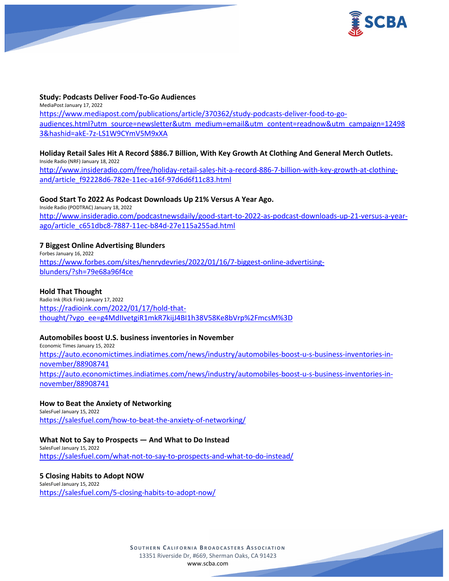

### **Study: Podcasts Deliver Food-To-Go Audiences**

MediaPost January 17, 2022 [https://www.mediapost.com/publications/article/370362/study-podcasts-deliver-food-to-go](https://www.mediapost.com/publications/article/370362/study-podcasts-deliver-food-to-go-audiences.html?utm_source=newsletter&utm_medium=email&utm_content=readnow&utm_campaign=124983&hashid=akE-7z-LS1W9CYmV5M9xXA)[audiences.html?utm\\_source=newsletter&utm\\_medium=email&utm\\_content=readnow&utm\\_campaign=12498](https://www.mediapost.com/publications/article/370362/study-podcasts-deliver-food-to-go-audiences.html?utm_source=newsletter&utm_medium=email&utm_content=readnow&utm_campaign=124983&hashid=akE-7z-LS1W9CYmV5M9xXA) [3&hashid=akE-7z-LS1W9CYmV5M9xXA](https://www.mediapost.com/publications/article/370362/study-podcasts-deliver-food-to-go-audiences.html?utm_source=newsletter&utm_medium=email&utm_content=readnow&utm_campaign=124983&hashid=akE-7z-LS1W9CYmV5M9xXA)

### **Holiday Retail Sales Hit A Record \$886.7 Billion, With Key Growth At Clothing And General Merch Outlets.**

Inside Radio (NRF) January 18, 2022 [http://www.insideradio.com/free/holiday-retail-sales-hit-a-record-886-7-billion-with-key-growth-at-clothing](http://www.insideradio.com/free/holiday-retail-sales-hit-a-record-886-7-billion-with-key-growth-at-clothing-and/article_f92228d6-782e-11ec-a16f-97d6d6f11c83.html)[and/article\\_f92228d6-782e-11ec-a16f-97d6d6f11c83.html](http://www.insideradio.com/free/holiday-retail-sales-hit-a-record-886-7-billion-with-key-growth-at-clothing-and/article_f92228d6-782e-11ec-a16f-97d6d6f11c83.html)

### **Good Start To 2022 As Podcast Downloads Up 21% Versus A Year Ago.**

Inside Radio (PODTRAC) January 18, 2022 [http://www.insideradio.com/podcastnewsdaily/good-start-to-2022-as-podcast-downloads-up-21-versus-a-year](http://www.insideradio.com/podcastnewsdaily/good-start-to-2022-as-podcast-downloads-up-21-versus-a-year-ago/article_c651dbc8-7887-11ec-b84d-27e115a255ad.html)[ago/article\\_c651dbc8-7887-11ec-b84d-27e115a255ad.html](http://www.insideradio.com/podcastnewsdaily/good-start-to-2022-as-podcast-downloads-up-21-versus-a-year-ago/article_c651dbc8-7887-11ec-b84d-27e115a255ad.html)

# **7 Biggest Online Advertising Blunders**

Forbes January 16, 2022 [https://www.forbes.com/sites/henrydevries/2022/01/16/7-biggest-online-advertising](https://www.forbes.com/sites/henrydevries/2022/01/16/7-biggest-online-advertising-blunders/?sh=79e68a96f4ce)[blunders/?sh=79e68a96f4ce](https://www.forbes.com/sites/henrydevries/2022/01/16/7-biggest-online-advertising-blunders/?sh=79e68a96f4ce)

### **Hold That Thought**

Radio Ink (Rick Fink) January 17, 2022 [https://radioink.com/2022/01/17/hold-that](https://radioink.com/2022/01/17/hold-that-thought/?vgo_ee=g4MdIIvetgiR1mkR7kijJ4BI1h38V58Ke8bVrp%2FmcsM%3D)[thought/?vgo\\_ee=g4MdIIvetgiR1mkR7kijJ4BI1h38V58Ke8bVrp%2FmcsM%3D](https://radioink.com/2022/01/17/hold-that-thought/?vgo_ee=g4MdIIvetgiR1mkR7kijJ4BI1h38V58Ke8bVrp%2FmcsM%3D)

### **Automobiles boost U.S. business inventories in November**

Economic Times January 15, 2022 [https://auto.economictimes.indiatimes.com/news/industry/automobiles-boost-u-s-business-inventories-in](https://auto.economictimes.indiatimes.com/news/industry/automobiles-boost-u-s-business-inventories-in-november/88908741)[november/88908741](https://auto.economictimes.indiatimes.com/news/industry/automobiles-boost-u-s-business-inventories-in-november/88908741) [https://auto.economictimes.indiatimes.com/news/industry/automobiles-boost-u-s-business-inventories-in](https://auto.economictimes.indiatimes.com/news/industry/automobiles-boost-u-s-business-inventories-in-november/88908741)[november/88908741](https://auto.economictimes.indiatimes.com/news/industry/automobiles-boost-u-s-business-inventories-in-november/88908741)

# **How to Beat the Anxiety of Networking**

SalesFuel January 15, 2022 <https://salesfuel.com/how-to-beat-the-anxiety-of-networking/>

# **What Not to Say to Prospects — And What to Do Instead**

SalesFuel January 15, 2022 <https://salesfuel.com/what-not-to-say-to-prospects-and-what-to-do-instead/>

# **5 Closing Habits to Adopt NOW**

SalesFuel January 15, 2022 <https://salesfuel.com/5-closing-habits-to-adopt-now/>

> **SOUTHERN C ALIFORNIA B ROADCASTERS ASSOCIATION** 13351 Riverside Dr, #669, Sherman Oaks, CA 91423 [www.scba.com](http://www.scba.com/)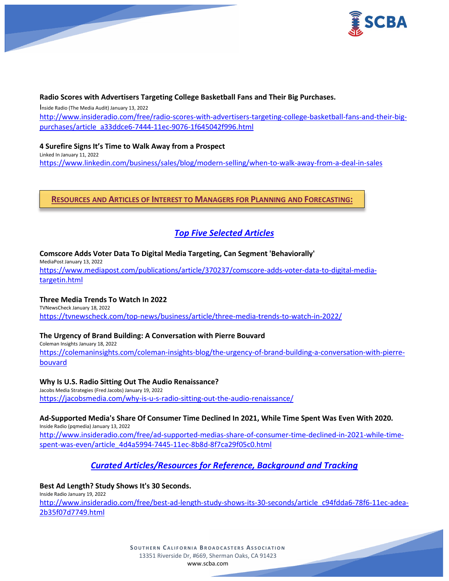

### **Radio Scores with Advertisers Targeting College Basketball Fans and Their Big Purchases.**

Inside Radio (The Media Audit) January 13, 2022 [http://www.insideradio.com/free/radio-scores-with-advertisers-targeting-college-basketball-fans-and-their-big](http://www.insideradio.com/free/radio-scores-with-advertisers-targeting-college-basketball-fans-and-their-big-purchases/article_a33ddce6-7444-11ec-9076-1f645042f996.html)[purchases/article\\_a33ddce6-7444-11ec-9076-1f645042f996.html](http://www.insideradio.com/free/radio-scores-with-advertisers-targeting-college-basketball-fans-and-their-big-purchases/article_a33ddce6-7444-11ec-9076-1f645042f996.html)

**4 Surefire Signs It's Time to Walk Away from a Prospect** Linked In January 11, 2022 <https://www.linkedin.com/business/sales/blog/modern-selling/when-to-walk-away-from-a-deal-in-sales>

**RESOURCES AND ARTICLES OF INTEREST TO MANAGERS FOR PLANNING AND FORECASTING:**

# *Top Five Selected Articles*

**Comscore Adds Voter Data To Digital Media Targeting, Can Segment 'Behaviorally'**

MediaPost January 13, 2022 [https://www.mediapost.com/publications/article/370237/comscore-adds-voter-data-to-digital-media](https://www.mediapost.com/publications/article/370237/comscore-adds-voter-data-to-digital-media-targetin.html)[targetin.html](https://www.mediapost.com/publications/article/370237/comscore-adds-voter-data-to-digital-media-targetin.html)

# **Three Media Trends To Watch In 2022**

TVNewsCheck January 18, 2022 <https://tvnewscheck.com/top-news/business/article/three-media-trends-to-watch-in-2022/>

# **The Urgency of Brand Building: A Conversation with Pierre Bouvard**

Coleman Insights January 18, 2022 [https://colemaninsights.com/coleman-insights-blog/the-urgency-of-brand-building-a-conversation-with-pierre](https://colemaninsights.com/coleman-insights-blog/the-urgency-of-brand-building-a-conversation-with-pierre-bouvard)[bouvard](https://colemaninsights.com/coleman-insights-blog/the-urgency-of-brand-building-a-conversation-with-pierre-bouvard)

### **Why Is U.S. Radio Sitting Out The Audio Renaissance?**

Jacobs Media Strategies (Fred Jacobs) January 19, 2022 <https://jacobsmedia.com/why-is-u-s-radio-sitting-out-the-audio-renaissance/>

**Ad-Supported Media's Share Of Consumer Time Declined In 2021, While Time Spent Was Even With 2020.** Inside Radio (pqmedia) January 13, 2022

[http://www.insideradio.com/free/ad-supported-medias-share-of-consumer-time-declined-in-2021-while-time](http://www.insideradio.com/free/ad-supported-medias-share-of-consumer-time-declined-in-2021-while-time-spent-was-even/article_4d4a5994-7445-11ec-8b8d-8f7ca29f05c0.html)[spent-was-even/article\\_4d4a5994-7445-11ec-8b8d-8f7ca29f05c0.html](http://www.insideradio.com/free/ad-supported-medias-share-of-consumer-time-declined-in-2021-while-time-spent-was-even/article_4d4a5994-7445-11ec-8b8d-8f7ca29f05c0.html)

# *Curated Articles/Resources for Reference, Background and Tracking*

#### **Best Ad Length? Study Shows It's 30 Seconds.** Inside Radio January 19, 2022

[http://www.insideradio.com/free/best-ad-length-study-shows-its-30-seconds/article\\_c94fdda6-78f6-11ec-adea-](http://www.insideradio.com/free/best-ad-length-study-shows-its-30-seconds/article_c94fdda6-78f6-11ec-adea-2b35f07d7749.html)[2b35f07d7749.html](http://www.insideradio.com/free/best-ad-length-study-shows-its-30-seconds/article_c94fdda6-78f6-11ec-adea-2b35f07d7749.html)

> **SOUTHERN C ALIFORNIA B ROADCASTERS ASSOCIATION** 13351 Riverside Dr, #669, Sherman Oaks, CA 91423 [www.scba.com](http://www.scba.com/)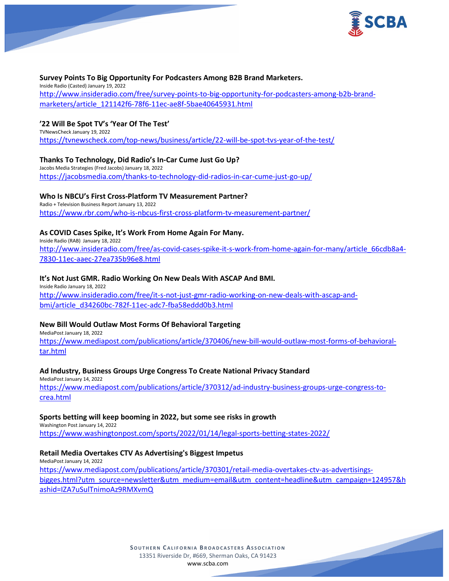

### **Survey Points To Big Opportunity For Podcasters Among B2B Brand Marketers.**

Inside Radio (Casted) January 19, 2022 [http://www.insideradio.com/free/survey-points-to-big-opportunity-for-podcasters-among-b2b-brand](http://www.insideradio.com/free/survey-points-to-big-opportunity-for-podcasters-among-b2b-brand-marketers/article_121142f6-78f6-11ec-ae8f-5bae40645931.html)[marketers/article\\_121142f6-78f6-11ec-ae8f-5bae40645931.html](http://www.insideradio.com/free/survey-points-to-big-opportunity-for-podcasters-among-b2b-brand-marketers/article_121142f6-78f6-11ec-ae8f-5bae40645931.html)

### **'22 Will Be Spot TV's 'Year Of The Test'**

TVNewsCheck January 19, 2022 <https://tvnewscheck.com/top-news/business/article/22-will-be-spot-tvs-year-of-the-test/>

### **Thanks To Technology, Did Radio's In-Car Cume Just Go Up?**

Jacobs Media Strategies (Fred Jacobs) January 18, 2022 <https://jacobsmedia.com/thanks-to-technology-did-radios-in-car-cume-just-go-up/>

### **Who Is NBCU's First Cross-Platform TV Measurement Partner?**

Radio + Television Business Report January 13, 2022 <https://www.rbr.com/who-is-nbcus-first-cross-platform-tv-measurement-partner/>

# **As COVID Cases Spike, It's Work From Home Again For Many.**

Inside Radio (RAB) January 18, 2022 [http://www.insideradio.com/free/as-covid-cases-spike-it-s-work-from-home-again-for-many/article\\_66cdb8a4-](http://www.insideradio.com/free/as-covid-cases-spike-it-s-work-from-home-again-for-many/article_66cdb8a4-7830-11ec-aaec-27ea735b96e8.html) [7830-11ec-aaec-27ea735b96e8.html](http://www.insideradio.com/free/as-covid-cases-spike-it-s-work-from-home-again-for-many/article_66cdb8a4-7830-11ec-aaec-27ea735b96e8.html)

### **It's Not Just GMR. Radio Working On New Deals With ASCAP And BMI.**

Inside Radio January 18, 2022 [http://www.insideradio.com/free/it-s-not-just-gmr-radio-working-on-new-deals-with-ascap-and](http://www.insideradio.com/free/it-s-not-just-gmr-radio-working-on-new-deals-with-ascap-and-bmi/article_d34260bc-782f-11ec-adc7-fba58eddd0b3.html)[bmi/article\\_d34260bc-782f-11ec-adc7-fba58eddd0b3.html](http://www.insideradio.com/free/it-s-not-just-gmr-radio-working-on-new-deals-with-ascap-and-bmi/article_d34260bc-782f-11ec-adc7-fba58eddd0b3.html)

# **New Bill Would Outlaw Most Forms Of Behavioral Targeting**

MediaPost January 18, 2022 [https://www.mediapost.com/publications/article/370406/new-bill-would-outlaw-most-forms-of-behavioral](https://www.mediapost.com/publications/article/370406/new-bill-would-outlaw-most-forms-of-behavioral-tar.html)[tar.html](https://www.mediapost.com/publications/article/370406/new-bill-would-outlaw-most-forms-of-behavioral-tar.html)

### **Ad Industry, Business Groups Urge Congress To Create National Privacy Standard**

MediaPost January 14, 2022 [https://www.mediapost.com/publications/article/370312/ad-industry-business-groups-urge-congress-to](https://www.mediapost.com/publications/article/370312/ad-industry-business-groups-urge-congress-to-crea.html)[crea.html](https://www.mediapost.com/publications/article/370312/ad-industry-business-groups-urge-congress-to-crea.html)

### **Sports betting will keep booming in 2022, but some see risks in growth**

Washington Post January 14, 2022 <https://www.washingtonpost.com/sports/2022/01/14/legal-sports-betting-states-2022/>

# **Retail Media Overtakes CTV As Advertising's Biggest Impetus**

MediaPost January 14, 2022 [https://www.mediapost.com/publications/article/370301/retail-media-overtakes-ctv-as-advertisings](https://www.mediapost.com/publications/article/370301/retail-media-overtakes-ctv-as-advertisings-bigges.html?utm_source=newsletter&utm_medium=email&utm_content=headline&utm_campaign=124957&hashid=IZA7uSulTnimoAz9RMXvmQ)[bigges.html?utm\\_source=newsletter&utm\\_medium=email&utm\\_content=headline&utm\\_campaign=124957&h](https://www.mediapost.com/publications/article/370301/retail-media-overtakes-ctv-as-advertisings-bigges.html?utm_source=newsletter&utm_medium=email&utm_content=headline&utm_campaign=124957&hashid=IZA7uSulTnimoAz9RMXvmQ) [ashid=IZA7uSulTnimoAz9RMXvmQ](https://www.mediapost.com/publications/article/370301/retail-media-overtakes-ctv-as-advertisings-bigges.html?utm_source=newsletter&utm_medium=email&utm_content=headline&utm_campaign=124957&hashid=IZA7uSulTnimoAz9RMXvmQ)